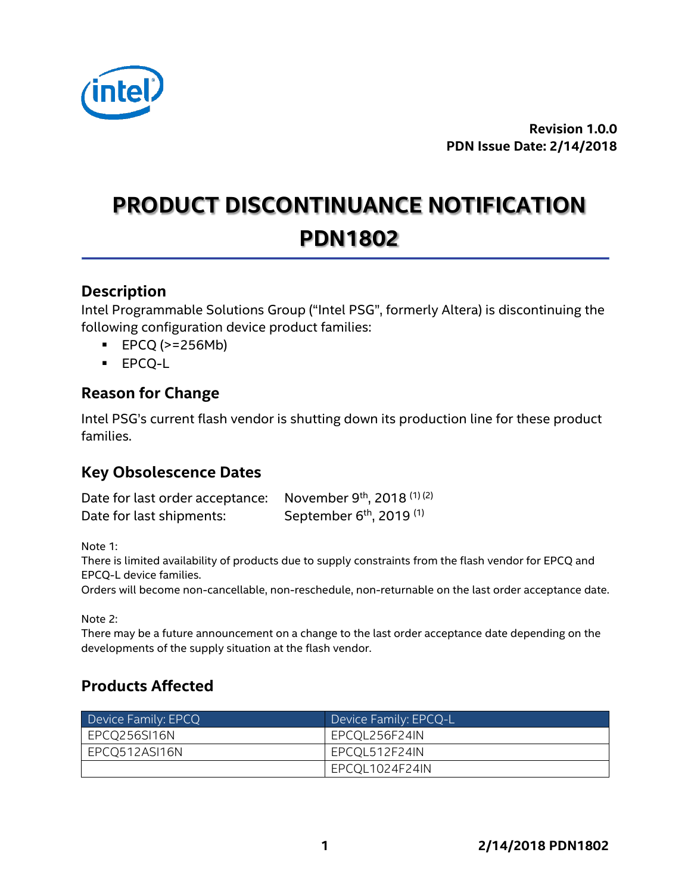

**Revision 1.0.0 PDN Issue Date: 2/14/2018**

# **PRODUCT DISCONTINUANCE NOTIFICATION PDN1802**

#### **Description**

Intel Programmable Solutions Group ("Intel PSG", formerly Altera) is discontinuing the following configuration device product families:

- $\text{EPCQ}$  (>=256Mb)
- EPCQ-L

### **Reason for Change**

Intel PSG's current flash vendor is shutting down its production line for these product families.

## **Key Obsolescence Dates**

| Date for last order acceptance: November 9th, 2018 <sup>(1)(2)</sup> |                                                 |
|----------------------------------------------------------------------|-------------------------------------------------|
| Date for last shipments:                                             | September 6 <sup>th</sup> , 2019 <sup>(1)</sup> |

Note 1:

There is limited availability of products due to supply constraints from the flash vendor for EPCQ and EPCQ-L device families.

Orders will become non-cancellable, non-reschedule, non-returnable on the last order acceptance date.

Note 2:

There may be a future announcement on a change to the last order acceptance date depending on the developments of the supply situation at the flash vendor.

## **Products Affected**

| Device Family: EPCQ | Device Family: EPCQ-L |  |
|---------------------|-----------------------|--|
| EPCQ256SI16N        | EPCQL256F24IN         |  |
| EPCQ512ASI16N       | EPCQL512F24IN         |  |
|                     | EPCOL1024F24IN        |  |